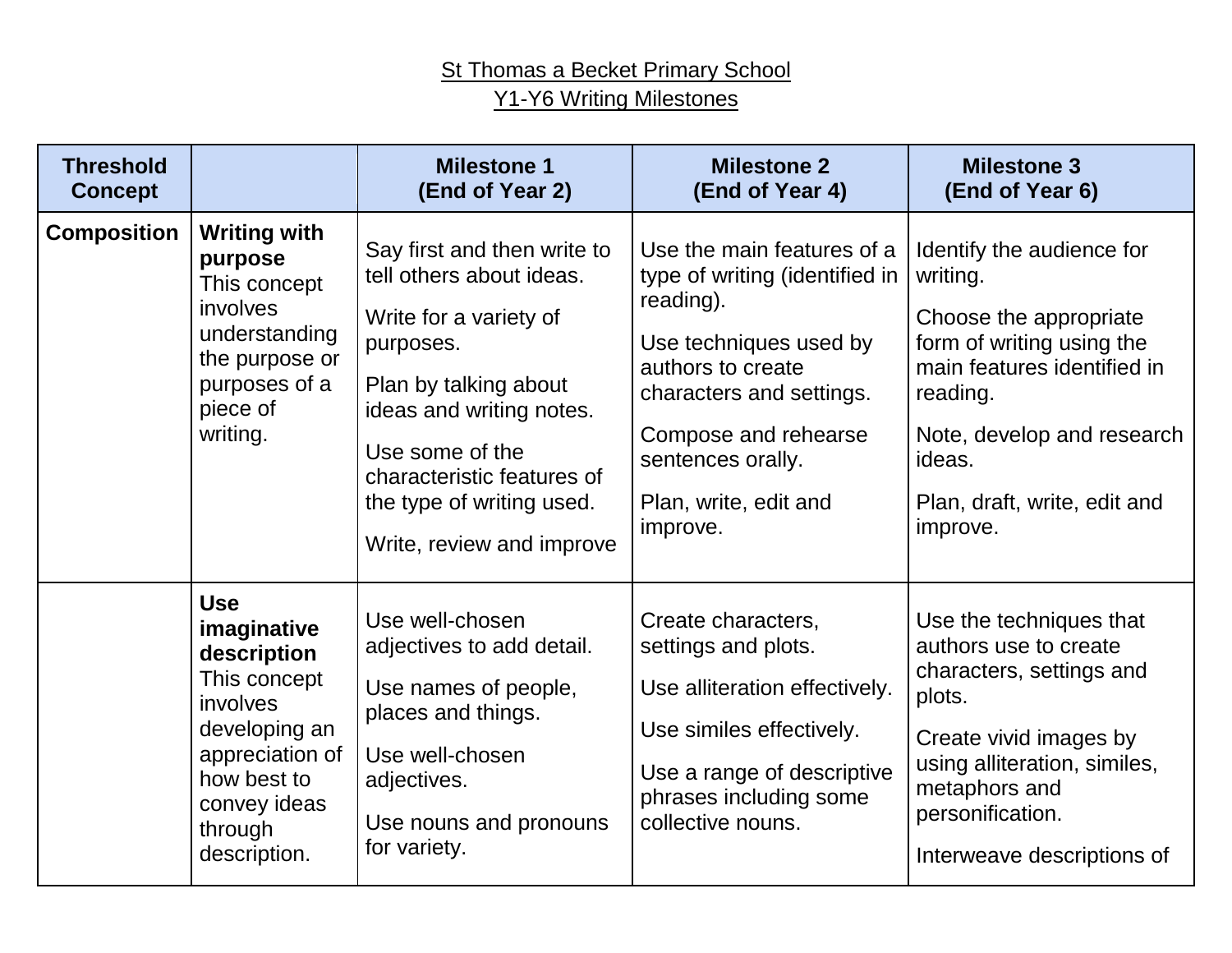## St Thomas a Becket Primary School Y1-Y6 Writing Milestones

| <b>Threshold</b><br><b>Concept</b> |                                                                                                                                                                           | <b>Milestone 1</b><br>(End of Year 2)                                                                                                                                                                                                                          | <b>Milestone 2</b><br>(End of Year 4)                                                                                                                                                                                                  | <b>Milestone 3</b><br>(End of Year 6)                                                                                                                                                                                       |
|------------------------------------|---------------------------------------------------------------------------------------------------------------------------------------------------------------------------|----------------------------------------------------------------------------------------------------------------------------------------------------------------------------------------------------------------------------------------------------------------|----------------------------------------------------------------------------------------------------------------------------------------------------------------------------------------------------------------------------------------|-----------------------------------------------------------------------------------------------------------------------------------------------------------------------------------------------------------------------------|
| <b>Composition</b>                 | <b>Writing with</b><br>purpose<br>This concept<br><i>involves</i><br>understanding<br>the purpose or<br>purposes of a<br>piece of<br>writing.                             | Say first and then write to<br>tell others about ideas.<br>Write for a variety of<br>purposes.<br>Plan by talking about<br>ideas and writing notes.<br>Use some of the<br>characteristic features of<br>the type of writing used.<br>Write, review and improve | Use the main features of a<br>type of writing (identified in<br>reading).<br>Use techniques used by<br>authors to create<br>characters and settings.<br>Compose and rehearse<br>sentences orally.<br>Plan, write, edit and<br>improve. | Identify the audience for<br>writing.<br>Choose the appropriate<br>form of writing using the<br>main features identified in<br>reading.<br>Note, develop and research<br>ideas.<br>Plan, draft, write, edit and<br>improve. |
|                                    | <b>Use</b><br>imaginative<br>description<br>This concept<br><i>involves</i><br>developing an<br>appreciation of<br>how best to<br>convey ideas<br>through<br>description. | Use well-chosen<br>adjectives to add detail.<br>Use names of people,<br>places and things.<br>Use well-chosen<br>adjectives.<br>Use nouns and pronouns<br>for variety.                                                                                         | Create characters,<br>settings and plots.<br>Use alliteration effectively.<br>Use similes effectively.<br>Use a range of descriptive<br>phrases including some<br>collective nouns.                                                    | Use the techniques that<br>authors use to create<br>characters, settings and<br>plots.<br>Create vivid images by<br>using alliteration, similes,<br>metaphors and<br>personification.<br>Interweave descriptions of         |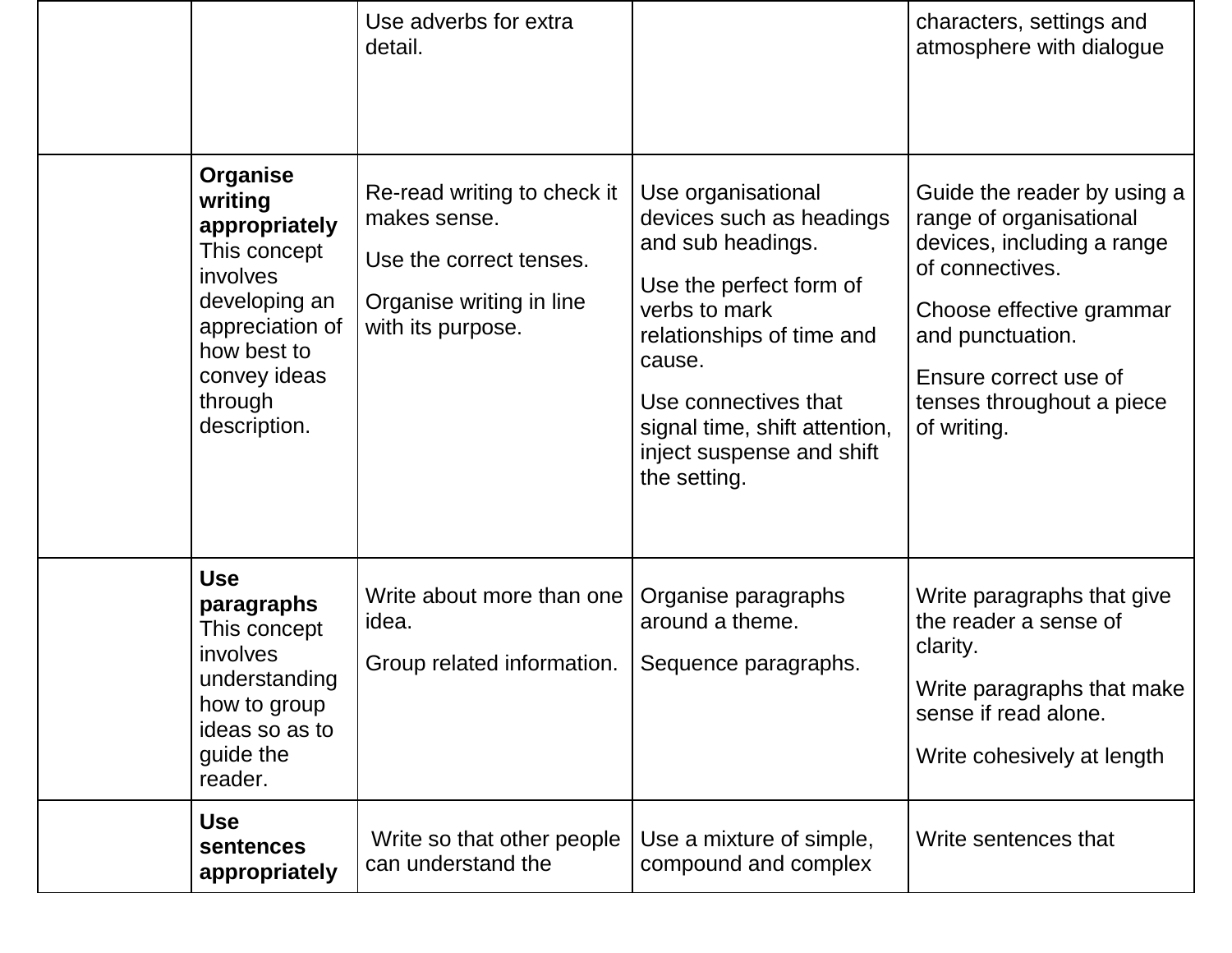| <b>Use</b>                        | sentences<br>appropriately                                                                                                   | Write so that other people<br>can understand the                                                                                                            | Use a mixture of simple,<br>compound and complex                                                                                                                                                                                                             | Write sentences that                                                                                                                                                                                                                                                                 |
|-----------------------------------|------------------------------------------------------------------------------------------------------------------------------|-------------------------------------------------------------------------------------------------------------------------------------------------------------|--------------------------------------------------------------------------------------------------------------------------------------------------------------------------------------------------------------------------------------------------------------|--------------------------------------------------------------------------------------------------------------------------------------------------------------------------------------------------------------------------------------------------------------------------------------|
| <b>Use</b><br>involves<br>reader. | paragraphs<br>This concept<br>understanding<br>how to group<br>ideas so as to<br>guide the                                   | Write about more than one<br>idea.<br>Group related information.                                                                                            | Organise paragraphs<br>around a theme.<br>Sequence paragraphs.                                                                                                                                                                                               | Write paragraphs that give<br>the reader a sense of<br>clarity.<br>Write paragraphs that make<br>sense if read alone.<br>Write cohesively at length                                                                                                                                  |
| writing<br>involves<br>through    | Organise<br>appropriately<br>This concept<br>developing an<br>appreciation of<br>how best to<br>convey ideas<br>description. | Use adverbs for extra<br>detail.<br>Re-read writing to check it<br>makes sense.<br>Use the correct tenses.<br>Organise writing in line<br>with its purpose. | Use organisational<br>devices such as headings<br>and sub headings.<br>Use the perfect form of<br>verbs to mark<br>relationships of time and<br>cause.<br>Use connectives that<br>signal time, shift attention,<br>inject suspense and shift<br>the setting. | characters, settings and<br>atmosphere with dialogue<br>Guide the reader by using a<br>range of organisational<br>devices, including a range<br>of connectives.<br>Choose effective grammar<br>and punctuation.<br>Ensure correct use of<br>tenses throughout a piece<br>of writing. |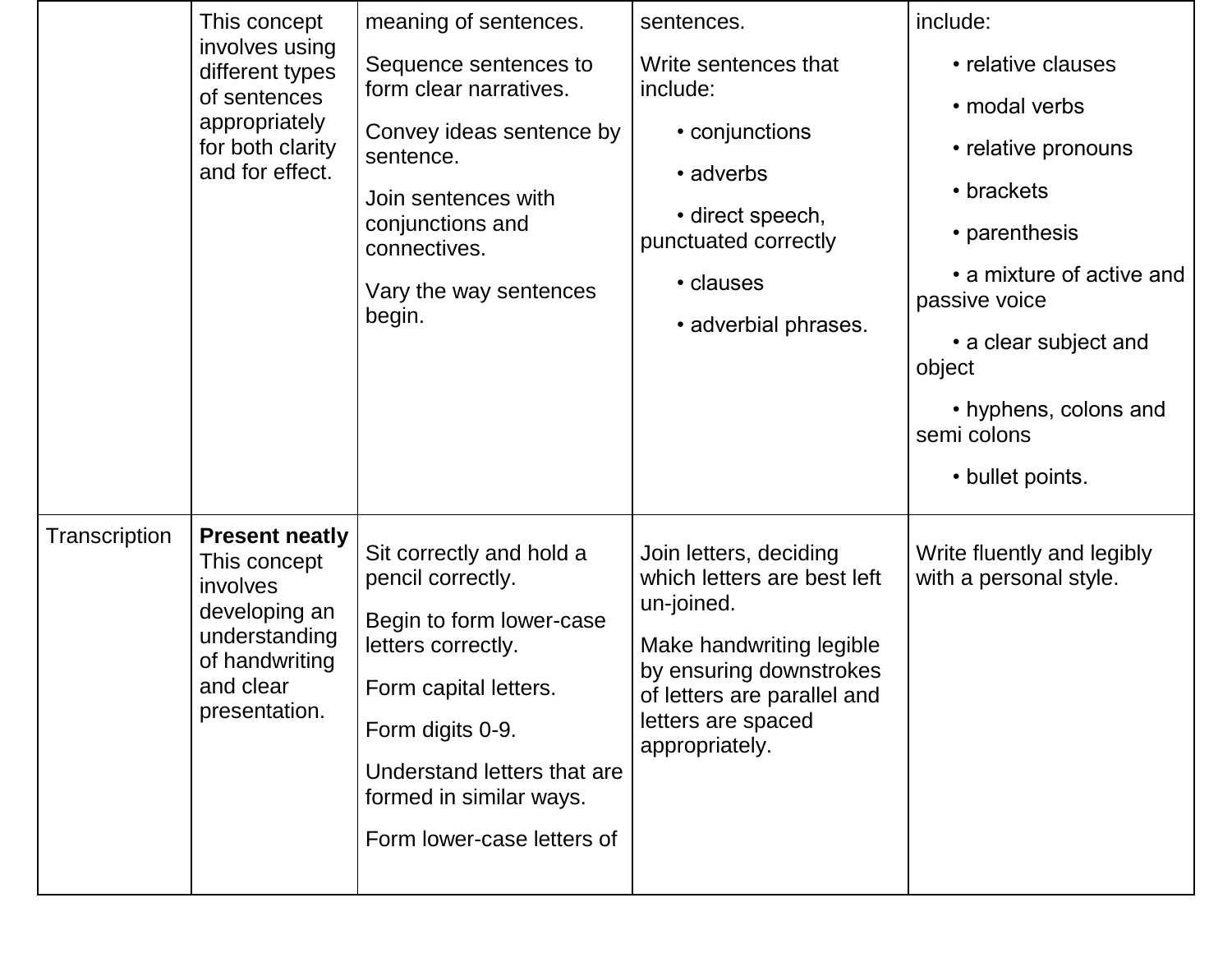|               | This concept                                                                                                                        | meaning of sentences.                                                                                                                                                                                                                | sentences.                                                                                                                                                                                        | include:                                                                                                     |
|---------------|-------------------------------------------------------------------------------------------------------------------------------------|--------------------------------------------------------------------------------------------------------------------------------------------------------------------------------------------------------------------------------------|---------------------------------------------------------------------------------------------------------------------------------------------------------------------------------------------------|--------------------------------------------------------------------------------------------------------------|
|               | involves using<br>different types                                                                                                   | Sequence sentences to<br>form clear narratives.<br>of sentences<br>Convey ideas sentence by<br>sentence.<br>Join sentences with<br>conjunctions and<br>connectives.                                                                  | Write sentences that<br>include:<br>• conjunctions<br>• adverbs<br>• direct speech,<br>punctuated correctly                                                                                       | • relative clauses                                                                                           |
|               | appropriately<br>for both clarity<br>and for effect.                                                                                |                                                                                                                                                                                                                                      |                                                                                                                                                                                                   | • modal verbs<br>• relative pronouns<br>• brackets<br>• parenthesis<br>• a mixture of active and             |
|               |                                                                                                                                     | Vary the way sentences<br>begin.                                                                                                                                                                                                     | • clauses<br>• adverbial phrases.                                                                                                                                                                 | passive voice<br>• a clear subject and<br>object<br>• hyphens, colons and<br>semi colons<br>• bullet points. |
| Transcription | <b>Present neatly</b><br>This concept<br>involves<br>developing an<br>understanding<br>of handwriting<br>and clear<br>presentation. | Sit correctly and hold a<br>pencil correctly.<br>Begin to form lower-case<br>letters correctly.<br>Form capital letters.<br>Form digits 0-9.<br>Understand letters that are<br>formed in similar ways.<br>Form lower-case letters of | Join letters, deciding<br>which letters are best left<br>un-joined.<br>Make handwriting legible<br>by ensuring downstrokes<br>of letters are parallel and<br>letters are spaced<br>appropriately. | Write fluently and legibly<br>with a personal style.                                                         |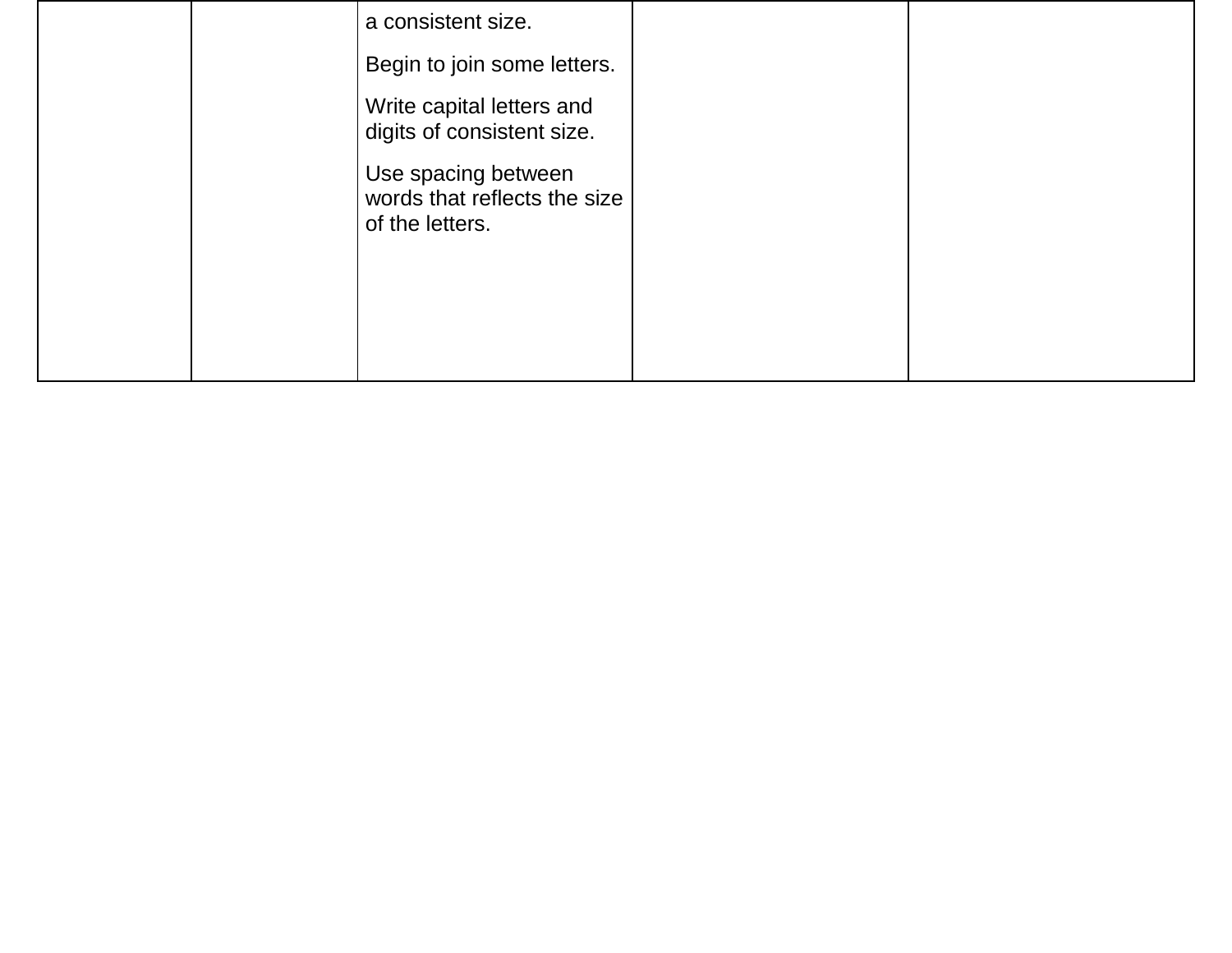|  | a consistent size.                                                     |  |
|--|------------------------------------------------------------------------|--|
|  | Begin to join some letters.                                            |  |
|  | Write capital letters and<br>digits of consistent size.                |  |
|  | Use spacing between<br>words that reflects the size<br>of the letters. |  |
|  |                                                                        |  |
|  |                                                                        |  |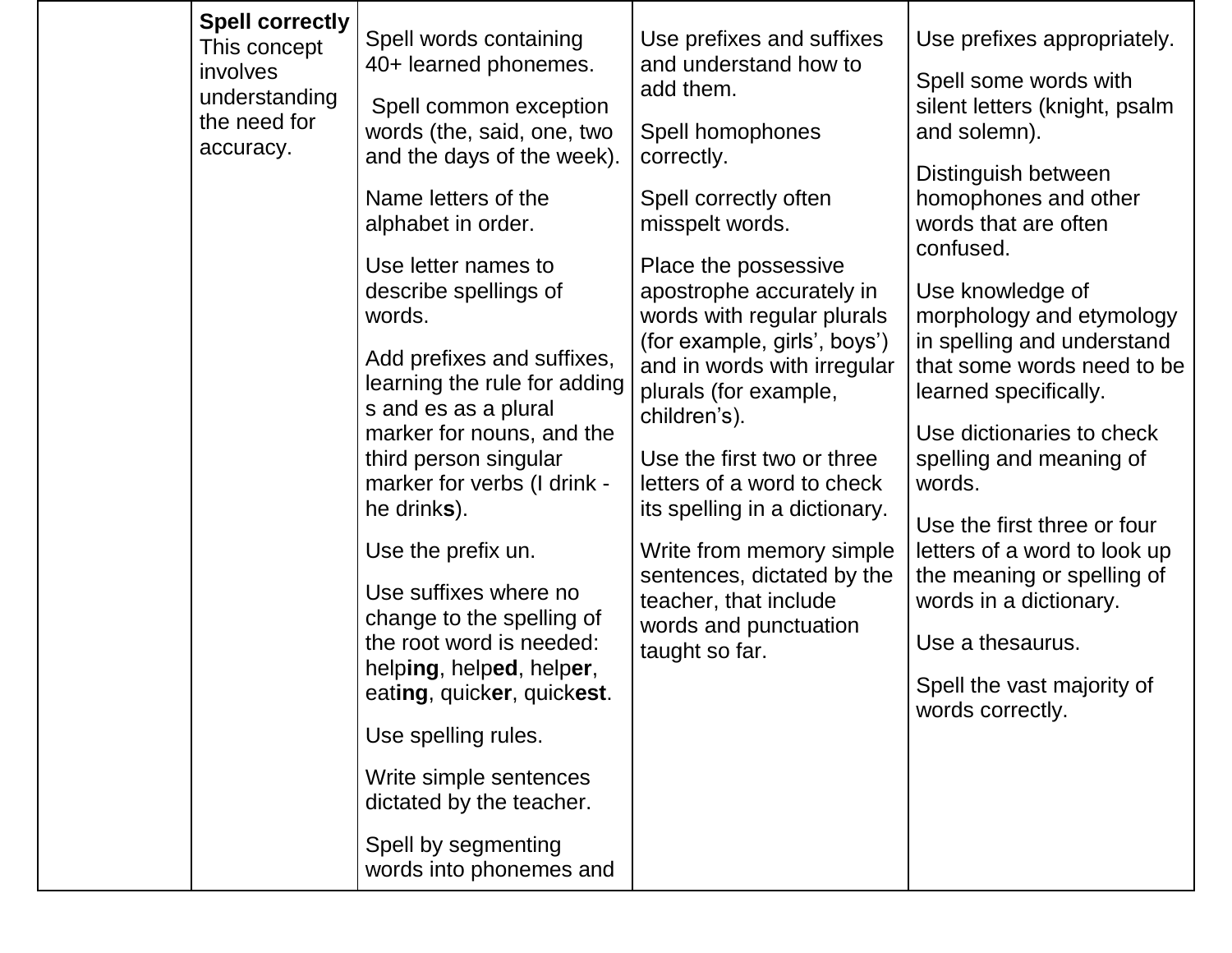| <b>Spell correctly</b><br>Spell words containing<br>Use prefixes and suffixes<br>This concept<br>40+ learned phonemes.<br>and understand how to<br><i>involves</i><br>add them.<br>understanding<br>Spell common exception<br>the need for<br>words (the, said, one, two<br>Spell homophones<br>accuracy.<br>and the days of the week).<br>correctly.<br>Name letters of the<br>Spell correctly often<br>alphabet in order.<br>misspelt words.<br>Place the possessive<br>Use letter names to<br>describe spellings of<br>apostrophe accurately in<br>words with regular plurals<br>words.<br>(for example, girls', boys')<br>Add prefixes and suffixes,<br>and in words with irregular<br>learning the rule for adding<br>plurals (for example,<br>s and es as a plural<br>children's).<br>marker for nouns, and the<br>third person singular<br>Use the first two or three<br>marker for verbs (I drink -<br>letters of a word to check<br>he drinks).<br>its spelling in a dictionary.<br>Use the prefix un.<br>Write from memory simple<br>sentences, dictated by the<br>Use suffixes where no<br>teacher, that include<br>change to the spelling of<br>words and punctuation<br>the root word is needed:<br>taught so far.<br>helping, helped, helper,<br>eating, quicker, quickest.<br>Use spelling rules.<br>Write simple sentences<br>dictated by the teacher.<br>Spell by segmenting<br>words into phonemes and | Use prefixes appropriately.<br>Spell some words with<br>silent letters (knight, psalm<br>and solemn).<br>Distinguish between<br>homophones and other<br>words that are often<br>confused.<br>Use knowledge of<br>morphology and etymology<br>in spelling and understand<br>that some words need to be<br>learned specifically.<br>Use dictionaries to check<br>spelling and meaning of<br>words.<br>Use the first three or four<br>letters of a word to look up<br>the meaning or spelling of<br>words in a dictionary.<br>Use a thesaurus.<br>Spell the vast majority of<br>words correctly. |
|--------------------------------------------------------------------------------------------------------------------------------------------------------------------------------------------------------------------------------------------------------------------------------------------------------------------------------------------------------------------------------------------------------------------------------------------------------------------------------------------------------------------------------------------------------------------------------------------------------------------------------------------------------------------------------------------------------------------------------------------------------------------------------------------------------------------------------------------------------------------------------------------------------------------------------------------------------------------------------------------------------------------------------------------------------------------------------------------------------------------------------------------------------------------------------------------------------------------------------------------------------------------------------------------------------------------------------------------------------------------------------------------------------------------------|-----------------------------------------------------------------------------------------------------------------------------------------------------------------------------------------------------------------------------------------------------------------------------------------------------------------------------------------------------------------------------------------------------------------------------------------------------------------------------------------------------------------------------------------------------------------------------------------------|
|--------------------------------------------------------------------------------------------------------------------------------------------------------------------------------------------------------------------------------------------------------------------------------------------------------------------------------------------------------------------------------------------------------------------------------------------------------------------------------------------------------------------------------------------------------------------------------------------------------------------------------------------------------------------------------------------------------------------------------------------------------------------------------------------------------------------------------------------------------------------------------------------------------------------------------------------------------------------------------------------------------------------------------------------------------------------------------------------------------------------------------------------------------------------------------------------------------------------------------------------------------------------------------------------------------------------------------------------------------------------------------------------------------------------------|-----------------------------------------------------------------------------------------------------------------------------------------------------------------------------------------------------------------------------------------------------------------------------------------------------------------------------------------------------------------------------------------------------------------------------------------------------------------------------------------------------------------------------------------------------------------------------------------------|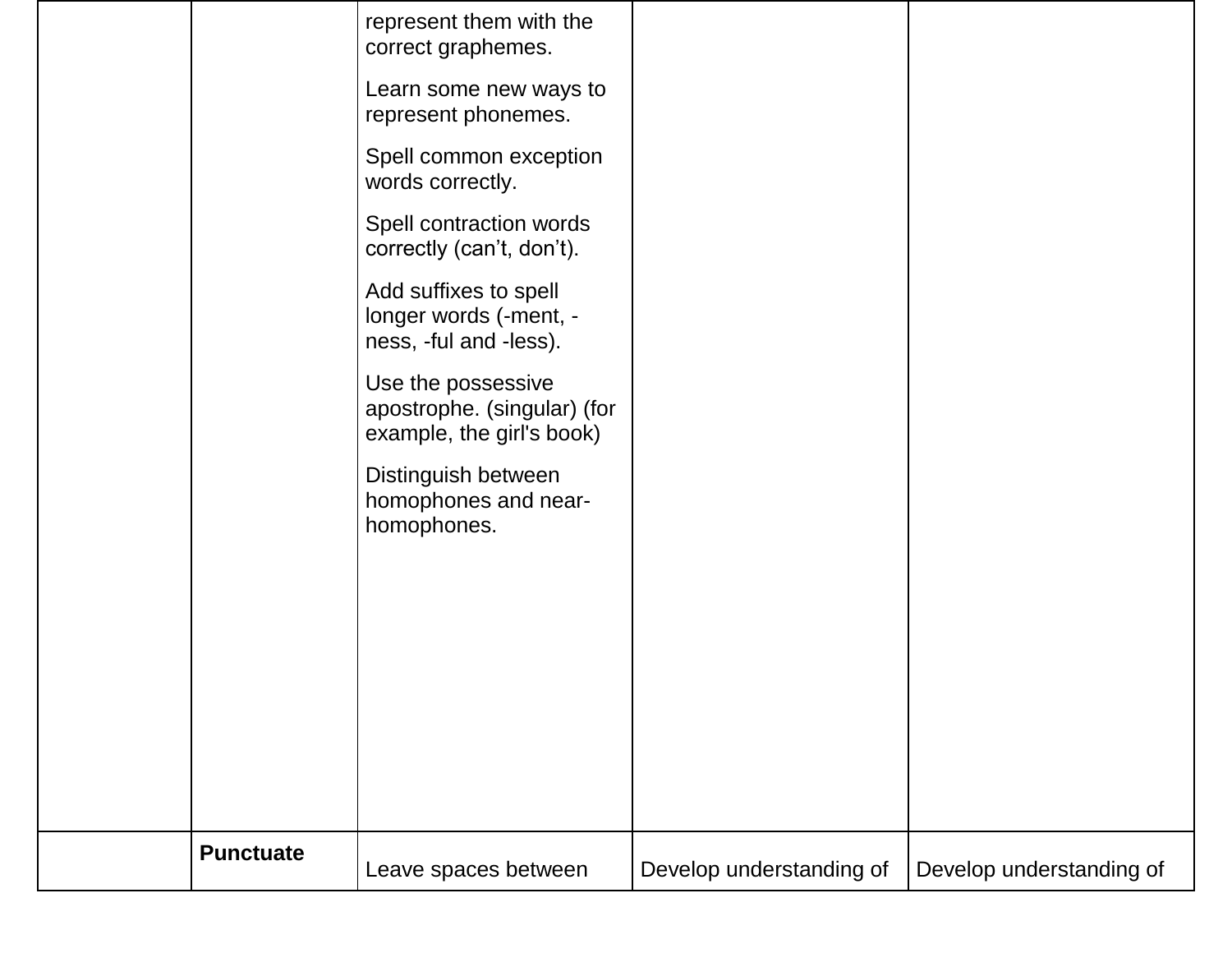| <b>Punctuate</b> | Leave spaces between                                                           | Develop understanding of | Develop understanding of |
|------------------|--------------------------------------------------------------------------------|--------------------------|--------------------------|
|                  |                                                                                |                          |                          |
|                  |                                                                                |                          |                          |
|                  | Distinguish between<br>homophones and near-<br>homophones.                     |                          |                          |
|                  | Use the possessive<br>apostrophe. (singular) (for<br>example, the girl's book) |                          |                          |
|                  | Add suffixes to spell<br>longer words (-ment, -<br>ness, -ful and -less).      |                          |                          |
|                  | Spell contraction words<br>correctly (can't, don't).                           |                          |                          |
|                  | Spell common exception<br>words correctly.                                     |                          |                          |
|                  | Learn some new ways to<br>represent phonemes.                                  |                          |                          |
|                  | represent them with the<br>correct graphemes.                                  |                          |                          |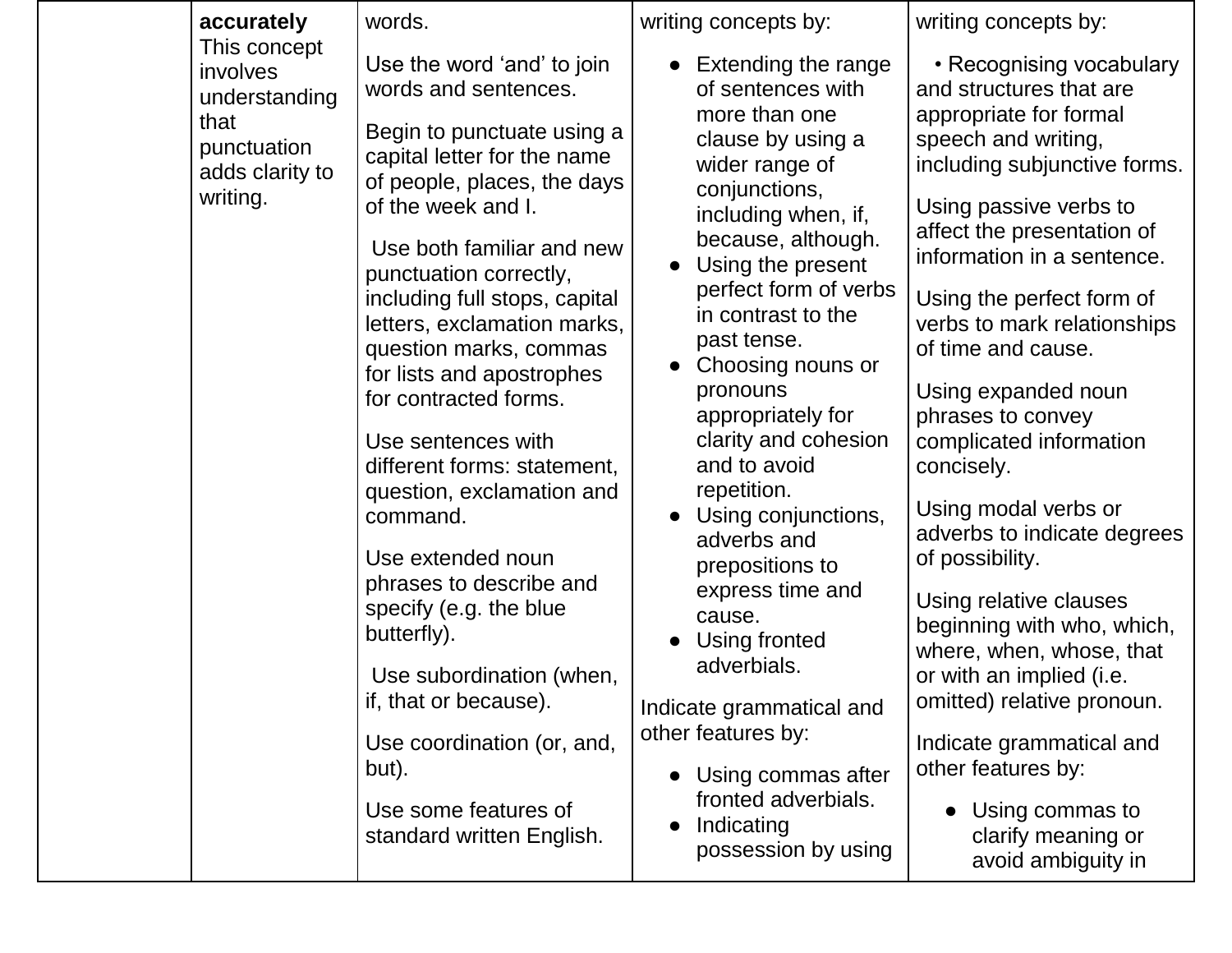| accurately                                                                                      | words.                                                                                                                                                                                                                                                                                                                                                                                                                                                                                                                                                                                                                                                                                                              | writing concepts by:                                                                                                                                                                                                                                                                                                                                                                                                                                                                                                                                                                                                          | writing concepts by:                                                                                                                                                                                                                                                                                                                                                                                                                                                                                                                                                                                                                                                                                                                       |
|-------------------------------------------------------------------------------------------------|---------------------------------------------------------------------------------------------------------------------------------------------------------------------------------------------------------------------------------------------------------------------------------------------------------------------------------------------------------------------------------------------------------------------------------------------------------------------------------------------------------------------------------------------------------------------------------------------------------------------------------------------------------------------------------------------------------------------|-------------------------------------------------------------------------------------------------------------------------------------------------------------------------------------------------------------------------------------------------------------------------------------------------------------------------------------------------------------------------------------------------------------------------------------------------------------------------------------------------------------------------------------------------------------------------------------------------------------------------------|--------------------------------------------------------------------------------------------------------------------------------------------------------------------------------------------------------------------------------------------------------------------------------------------------------------------------------------------------------------------------------------------------------------------------------------------------------------------------------------------------------------------------------------------------------------------------------------------------------------------------------------------------------------------------------------------------------------------------------------------|
| This concept<br>involves<br>understanding<br>that<br>punctuation<br>adds clarity to<br>writing. | Use the word 'and' to join<br>words and sentences.<br>Begin to punctuate using a<br>capital letter for the name<br>of people, places, the days<br>of the week and I.<br>Use both familiar and new<br>punctuation correctly,<br>including full stops, capital<br>letters, exclamation marks,<br>question marks, commas<br>for lists and apostrophes<br>for contracted forms.<br>Use sentences with<br>different forms: statement,<br>question, exclamation and<br>command.<br>Use extended noun<br>phrases to describe and<br>specify (e.g. the blue<br>butterfly).<br>Use subordination (when,<br>if, that or because).<br>Use coordination (or, and,<br>but).<br>Use some features of<br>standard written English. | • Extending the range<br>of sentences with<br>more than one<br>clause by using a<br>wider range of<br>conjunctions,<br>including when, if,<br>because, although.<br>Using the present<br>perfect form of verbs<br>in contrast to the<br>past tense.<br>Choosing nouns or<br>pronouns<br>appropriately for<br>clarity and cohesion<br>and to avoid<br>repetition.<br>Using conjunctions,<br>adverbs and<br>prepositions to<br>express time and<br>cause.<br>Using fronted<br>adverbials.<br>Indicate grammatical and<br>other features by:<br>• Using commas after<br>fronted adverbials.<br>Indicating<br>possession by using | • Recognising vocabulary<br>and structures that are<br>appropriate for formal<br>speech and writing,<br>including subjunctive forms.<br>Using passive verbs to<br>affect the presentation of<br>information in a sentence.<br>Using the perfect form of<br>verbs to mark relationships<br>of time and cause.<br>Using expanded noun<br>phrases to convey<br>complicated information<br>concisely.<br>Using modal verbs or<br>adverbs to indicate degrees<br>of possibility.<br>Using relative clauses<br>beginning with who, which,<br>where, when, whose, that<br>or with an implied (i.e.<br>omitted) relative pronoun.<br>Indicate grammatical and<br>other features by:<br>Using commas to<br>clarify meaning or<br>avoid ambiguity in |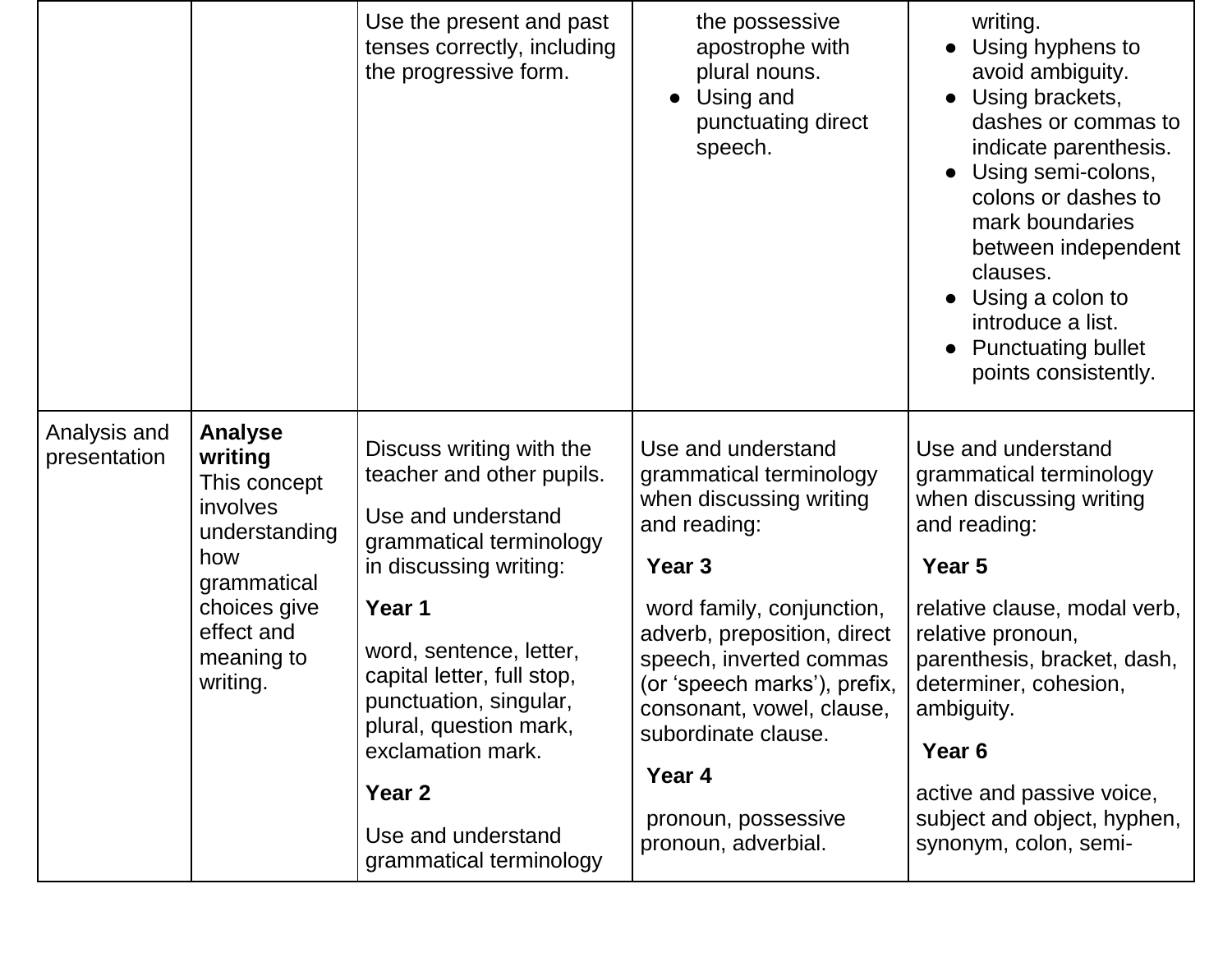|                                                            |                                                                        | Use the present and past<br>tenses correctly, including<br>the progressive form.                                                                                                    | the possessive<br>apostrophe with<br>plural nouns.<br>Using and<br>$\bullet$<br>punctuating direct<br>speech.                                                                                            | writing.<br>Using hyphens to<br>avoid ambiguity.<br>Using brackets,<br>dashes or commas to<br>indicate parenthesis.<br>Using semi-colons,<br>colons or dashes to<br>mark boundaries<br>between independent<br>clauses.<br>Using a colon to<br>introduce a list.<br><b>Punctuating bullet</b><br>points consistently. |
|------------------------------------------------------------|------------------------------------------------------------------------|-------------------------------------------------------------------------------------------------------------------------------------------------------------------------------------|----------------------------------------------------------------------------------------------------------------------------------------------------------------------------------------------------------|----------------------------------------------------------------------------------------------------------------------------------------------------------------------------------------------------------------------------------------------------------------------------------------------------------------------|
| Analysis and<br>presentation                               | <b>Analyse</b><br>writing<br>This concept<br>involves<br>understanding | Discuss writing with the<br>teacher and other pupils.<br>Use and understand<br>grammatical terminology                                                                              | Use and understand<br>grammatical terminology<br>when discussing writing<br>and reading:                                                                                                                 | Use and understand<br>grammatical terminology<br>when discussing writing<br>and reading:                                                                                                                                                                                                                             |
| how<br>grammatical<br>effect and<br>meaning to<br>writing. |                                                                        | in discussing writing:                                                                                                                                                              | Year <sub>3</sub>                                                                                                                                                                                        | Year 5                                                                                                                                                                                                                                                                                                               |
|                                                            | choices give                                                           | Year 1<br>word, sentence, letter,<br>capital letter, full stop,<br>punctuation, singular,<br>plural, question mark,<br>exclamation mark.<br>Year <sub>2</sub><br>Use and understand | word family, conjunction,<br>adverb, preposition, direct<br>speech, inverted commas<br>(or 'speech marks'), prefix,<br>consonant, vowel, clause,<br>subordinate clause.<br>Year 4<br>pronoun, possessive | relative clause, modal verb,<br>relative pronoun,<br>parenthesis, bracket, dash,<br>determiner, cohesion,<br>ambiguity.<br>Year <sub>6</sub><br>active and passive voice,<br>subject and object, hyphen,                                                                                                             |
|                                                            |                                                                        | grammatical terminology                                                                                                                                                             | pronoun, adverbial.                                                                                                                                                                                      | synonym, colon, semi-                                                                                                                                                                                                                                                                                                |